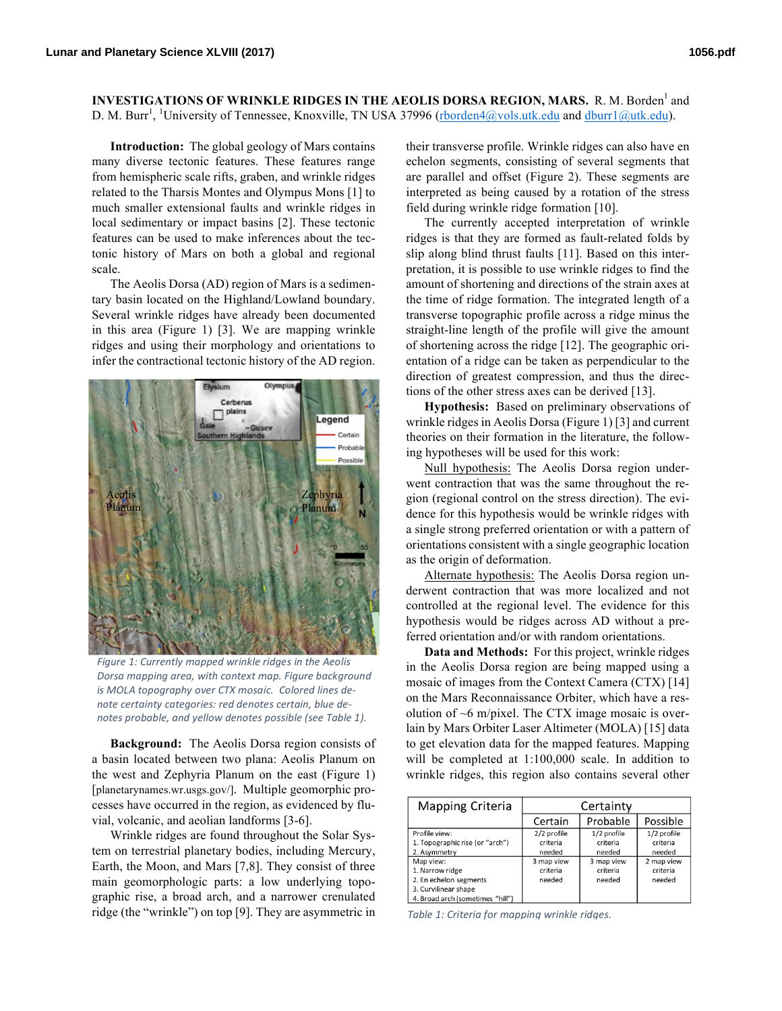**INVESTIGATIONS OF WRINKLE RIDGES IN THE AEOLIS DORSA REGION, MARS.** R. M. Borden<sup>1</sup> and D. M. Burr<sup>1</sup>, <sup>1</sup>University of Tennessee, Knoxville, TN USA 37996 (rborden4@vols.utk.edu and dburr1@utk.edu).

**Introduction:** The global geology of Mars contains many diverse tectonic features. These features range from hemispheric scale rifts, graben, and wrinkle ridges related to the Tharsis Montes and Olympus Mons [1] to much smaller extensional faults and wrinkle ridges in local sedimentary or impact basins [2]. These tectonic features can be used to make inferences about the tectonic history of Mars on both a global and regional scale.

The Aeolis Dorsa (AD) region of Mars is a sedimentary basin located on the Highland/Lowland boundary. Several wrinkle ridges have already been documented in this area (Figure 1) [3]. We are mapping wrinkle ridges and using their morphology and orientations to infer the contractional tectonic history of the AD region.



Figure 1: Currently mapped wrinkle ridges in the Aeolis *Dorsa mapping area, with context map. Figure background* is MOLA topography over CTX mosaic. Colored lines denote certainty categories: red denotes certain, blue de*notes probable, and yellow denotes possible (see Table 1).* 

**Background:** The Aeolis Dorsa region consists of a basin located between two plana: Aeolis Planum on the west and Zephyria Planum on the east (Figure 1) [planetarynames.wr.usgs.gov/]. Multiple geomorphic processes have occurred in the region, as evidenced by fluvial, volcanic, and aeolian landforms [3-6].

Wrinkle ridges are found throughout the Solar System on terrestrial planetary bodies, including Mercury, Earth, the Moon, and Mars [7,8]. They consist of three main geomorphologic parts: a low underlying topographic rise, a broad arch, and a narrower crenulated ridge (the "wrinkle") on top [9]. They are asymmetric in

their transverse profile. Wrinkle ridges can also have en echelon segments, consisting of several segments that are parallel and offset (Figure 2). These segments are interpreted as being caused by a rotation of the stress field during wrinkle ridge formation [10].

The currently accepted interpretation of wrinkle ridges is that they are formed as fault-related folds by slip along blind thrust faults [11]. Based on this interpretation, it is possible to use wrinkle ridges to find the amount of shortening and directions of the strain axes at the time of ridge formation. The integrated length of a transverse topographic profile across a ridge minus the straight-line length of the profile will give the amount of shortening across the ridge [12]. The geographic orientation of a ridge can be taken as perpendicular to the direction of greatest compression, and thus the directions of the other stress axes can be derived [13].

**Hypothesis:** Based on preliminary observations of wrinkle ridges in Aeolis Dorsa (Figure 1) [3] and current theories on their formation in the literature, the following hypotheses will be used for this work:

Null hypothesis: The Aeolis Dorsa region underwent contraction that was the same throughout the region (regional control on the stress direction). The evidence for this hypothesis would be wrinkle ridges with a single strong preferred orientation or with a pattern of orientations consistent with a single geographic location as the origin of deformation.

Alternate hypothesis: The Aeolis Dorsa region underwent contraction that was more localized and not controlled at the regional level. The evidence for this hypothesis would be ridges across AD without a preferred orientation and/or with random orientations.

**Data and Methods:** For this project, wrinkle ridges in the Aeolis Dorsa region are being mapped using a mosaic of images from the Context Camera (CTX) [14] on the Mars Reconnaissance Orbiter, which have a resolution of  $\sim$ 6 m/pixel. The CTX image mosaic is overlain by Mars Orbiter Laser Altimeter (MOLA) [15] data to get elevation data for the mapped features. Mapping will be completed at 1:100,000 scale. In addition to wrinkle ridges, this region also contains several other

| <b>Mapping Criteria</b>          | Certainty   |             |             |
|----------------------------------|-------------|-------------|-------------|
|                                  | Certain     | Probable    | Possible    |
| Profile view:                    | 2/2 profile | 1/2 profile | 1/2 profile |
| 1. Topographic rise (or "arch")  | criteria    | criteria    | criteria    |
| 2. Asymmetry                     | needed      | needed      | needed      |
| Map view:                        | 3 map view  | 3 map view  | 2 map view  |
| 1. Narrow ridge                  | criteria    | criteria    | criteria    |
| 2. En echelon segments           | needed      | needed      | needed      |
| 3. Curvilinear shape             |             |             |             |
| 4. Broad arch (sometimes "hill") |             |             |             |

Table 1: Criteria for mapping wrinkle ridges.